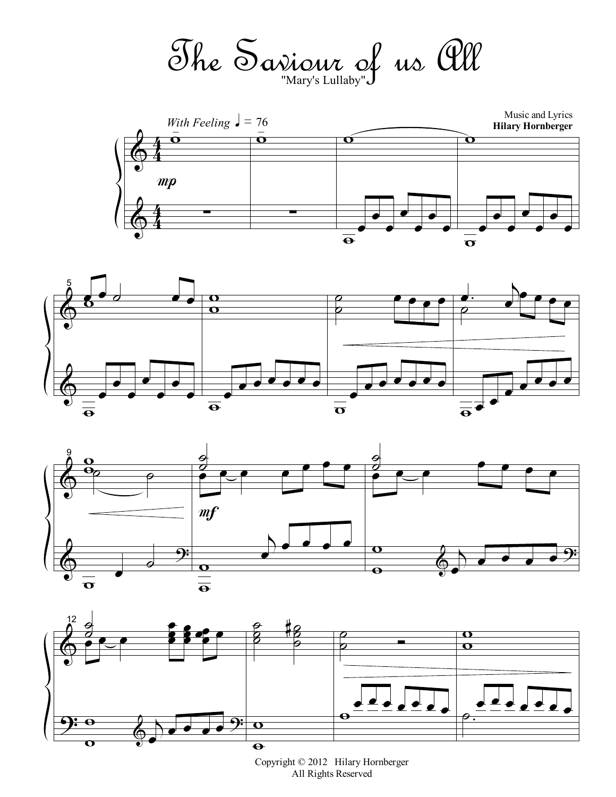The Saviour of us All "Mary's Lullaby"









Copyright © 2012 Hilary Hornberger All Rights Reserved